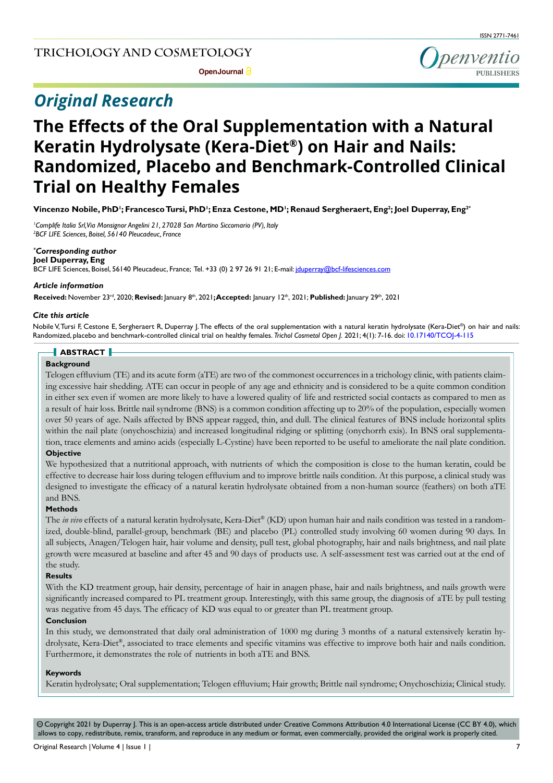# *Original Research*



# **The Effects of the Oral Supplementation with a Natural Keratin Hydrolysate (Kera-Diet®) on Hair and Nails: Randomized, Placebo and Benchmark-Controlled Clinical Trial on Healthy Females**

**Vincenzo Nobile, PhD1 ; Francesco Tursi, PhD1 ; Enza Cestone, MD1 ; Renaud Sergheraert, Eng2 ; Joel Duperray, Eng2\***

*1 Complife Italia Srl,Via Monsignor Angelini 21, 27028 San Martino Siccomario (PV), Italy 2 BCF LIFE Sciences, Boisel, 56140 Pleucadeuc, France* 

## *\* Corresponding author*

**Joel Duperray, Eng**  BCF LIFE Sciences, Boisel, 56140 Pleucadeuc, France; Tel. +33 (0) 2 97 26 91 21; E-mail: jduperray@bcf-lifesciences.com

### *Article information*

**Received:** November 23rd, 2020; **Revised:** January 8th, 2021**; Accepted:** January 12th, 2021; **Published:** January 29th, 2021

## *Cite this article*

Nobile V, Tursi F, Cestone E, Sergheraert R, Duperray J. The effects of the oral supplementation with a natural keratin hydrolysate (Kera-Diet®) on hair and nails: Randomized, placebo and benchmark-controlled clinical trial on healthy females. *Trichol Cosmetol Open J.* 2021; 4(1): 7-16. doi: [10.17140/TCOJ-4-115](http://dx.doi.org/10.17140/TCOJ-4-115)

# **ABSTRACT**

## **Background**

Telogen effluvium (TE) and its acute form (aTE) are two of the commonest occurrences in a trichology clinic, with patients claiming excessive hair shedding. ATE can occur in people of any age and ethnicity and is considered to be a quite common condition in either sex even if women are more likely to have a lowered quality of life and restricted social contacts as compared to men as a result of hair loss. Brittle nail syndrome (BNS) is a common condition affecting up to 20% of the population, especially women over 50 years of age. Nails affected by BNS appear ragged, thin, and dull. The clinical features of BNS include horizontal splits within the nail plate (onychoschizia) and increased longitudinal ridging or splitting (onychorrh exis). In BNS oral supplementation, trace elements and amino acids (especially L-Cystine) have been reported to be useful to ameliorate the nail plate condition.

## **Objective**

We hypothesized that a nutritional approach, with nutrients of which the composition is close to the human keratin, could be effective to decrease hair loss during telogen effluvium and to improve brittle nails condition. At this purpose, a clinical study was designed to investigate the efficacy of a natural keratin hydrolysate obtained from a non-human source (feathers) on both aTE and BNS.

# **Methods**

The *in vivo* effects of a natural keratin hydrolysate, Kera-Diet® (KD) upon human hair and nails condition was tested in a randomized, double-blind, parallel-group, benchmark (BE) and placebo (PL) controlled study involving 60 women during 90 days. In all subjects, Anagen/Telogen hair, hair volume and density, pull test, global photography, hair and nails brightness, and nail plate growth were measured at baseline and after 45 and 90 days of products use. A self-assessment test was carried out at the end of the study.

## **Results**

With the KD treatment group, hair density, percentage of hair in anagen phase, hair and nails brightness, and nails growth were significantly increased compared to PL treatment group. Interestingly, with this same group, the diagnosis of aTE by pull testing was negative from 45 days. The efficacy of KD was equal to or greater than PL treatment group.

# **Conclusion**

In this study, we demonstrated that daily oral administration of 1000 mg during 3 months of a natural extensively keratin hydrolysate, Kera-Diet®, associated to trace elements and specific vitamins was effective to improve both hair and nails condition. Furthermore, it demonstrates the role of nutrients in both aTE and BNS.

## **Keywords**

Keratin hydrolysate; Oral supplementation; Telogen effluvium; Hair growth; Brittle nail syndrome; Onychoschizia; Clinical study.

 $\circledcirc$  Copyright 2021 by Duperray J. This is an open-access article distributed under Creative Commons Attribution 4.0 International License (CC BY 4.0), which allows to copy, redistribute, remix, transform, and reproduce in any medium or format, even commercially, provided the original work is properly cited.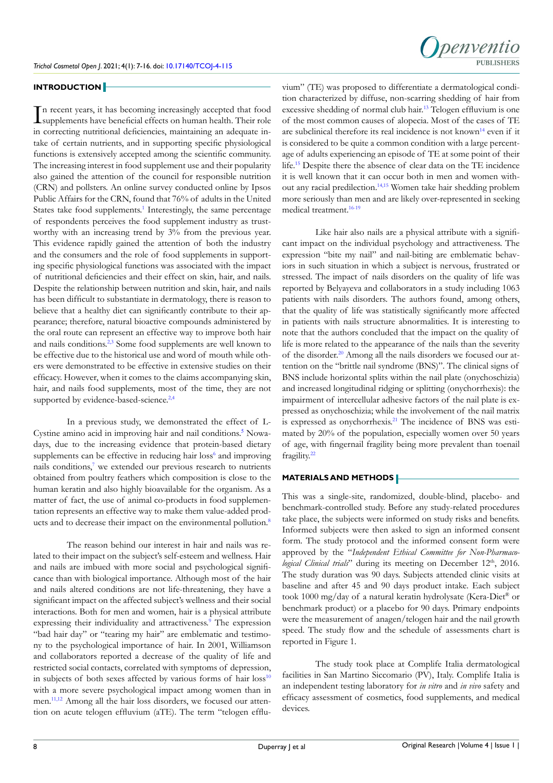

## **INTRODUCTION**

I n recent years, it has becoming increasingly accepted that food supplements have beneficial effects on human health. Their role in correcting nutritional deficiencies, maintaining an adequate intake of certain nutrients, and in supporting specific physiological functions is extensively accepted among the scientific community. The increasing interest in food supplement use and their popularity also gained the attention of the council for responsible nutrition (CRN) and pollsters. An online survey conducted online by Ipsos Public Affairs for the CRN, found that 76% of adults in the United States take food supplements.<sup>[1](#page-8-0)</sup> Interestingly, the same percentage of respondents perceives the food supplement industry as trustworthy with an increasing trend by 3% from the previous year. This evidence rapidly gained the attention of both the industry and the consumers and the role of food supplements in supporting specific physiological functions was associated with the impact of nutritional deficiencies and their effect on skin, hair, and nails. Despite the relationship between nutrition and skin, hair, and nails has been difficult to substantiate in dermatology, there is reason to believe that a healthy diet can significantly contribute to their appearance; therefore, natural bioactive compounds administered by the oral route can represent an effective way to improve both hair and nails conditions.<sup>[2,3](#page-8-1)</sup> Some food supplements are well known to be effective due to the historical use and word of mouth while others were demonstrated to be effective in extensive studies on their efficacy. However, when it comes to the claims accompanying skin, hair, and nails food supplements, most of the time, they are not supported by evidence-based-science.<sup>2,[4](#page-8-2)</sup>

In a previous study, we demonstrated the effect of L-Cystine amino acid in improving hair and nail conditions.<sup>[5](#page-8-3)</sup> Nowadays, due to the increasing evidence that protein-based dietary supplements can be effective in reducing hair loss<sup>6</sup> and improving nails conditions,<sup>7</sup> we extended our previous research to nutrients obtained from poultry feathers which composition is close to the human keratin and also highly bioavailable for the organism. As a matter of fact, the use of animal co-products in food supplementation represents an effective way to make them value-added prod-ucts and to decrease their impact on the environmental pollution.<sup>[8](#page-8-6)</sup>

The reason behind our interest in hair and nails was related to their impact on the subject's self-esteem and wellness. Hair and nails are imbued with more social and psychological significance than with biological importance. Although most of the hair and nails altered conditions are not life-threatening, they have a significant impact on the affected subject's wellness and their social interactions. Both for men and women, hair is a physical attribute expressing their individuality and attractiveness.<sup>[9](#page-8-7)</sup> The expression "bad hair day" or "tearing my hair" are emblematic and testimony to the psychological importance of hair. In 2001, Williamson and collaborators reported a decrease of the quality of life and restricted social contacts, correlated with symptoms of depression, in subjects of both sexes affected by various forms of hair  $loss^{10}$ with a more severe psychological impact among women than in men[.11,12](#page-9-1) Among all the hair loss disorders, we focused our attention on acute telogen effluvium (aTE). The term "telogen effluvium" (TE) was proposed to differentiate a dermatological condition characterized by diffuse, non-scarring shedding of hair from excessive shedding of normal club hair.<sup>13</sup> Telogen effluvium is one of the most common causes of alopecia. Most of the cases of TE are subclinical therefore its real incidence is not known<sup>14</sup> even if it is considered to be quite a common condition with a large percentage of adults experiencing an episode of TE at some point of their life.[15](#page-9-4) Despite there the absence of clear data on the TE incidence it is well known that it can occur both in men and women without any racial predilection[.14,15](#page-9-3) Women take hair shedding problem more seriously than men and are likely over-represented in seeking medical treatment.<sup>16-19</sup>

Like hair also nails are a physical attribute with a significant impact on the individual psychology and attractiveness. The expression "bite my nail" and nail-biting are emblematic behaviors in such situation in which a subject is nervous, frustrated or stressed. The impact of nails disorders on the quality of life was reported by Belyayeva and collaborators in a study including 1063 patients with nails disorders. The authors found, among others, that the quality of life was statistically significantly more affected in patients with nails structure abnormalities. It is interesting to note that the authors concluded that the impact on the quality of life is more related to the appearance of the nails than the severity of the disorder[.20](#page-9-6) Among all the nails disorders we focused our attention on the "brittle nail syndrome (BNS)". The clinical signs of BNS include horizontal splits within the nail plate (onychoschizia) and increased longitudinal ridging or splitting (onychorrhexis): the impairment of intercellular adhesive factors of the nail plate is expressed as onychoschizia; while the involvement of the nail matrix is expressed as onychorrhexis.<sup>[21](#page-9-7)</sup> The incidence of BNS was estimated by 20% of the population, especially women over 50 years of age, with fingernail fragility being more prevalent than toenail fragility.<sup>22</sup>

# **MATERIALS AND METHODS**

This was a single-site, randomized, double-blind, placebo- and benchmark-controlled study. Before any study-related procedures take place, the subjects were informed on study risks and benefits. Informed subjects were then asked to sign an informed consent form. The study protocol and the informed consent form were approved by the "*Independent Ethical Committee for Non-Pharmacological Clinical trials*" during its meeting on December 12<sup>th</sup>, 2016. The study duration was 90 days. Subjects attended clinic visits at baseline and after 45 and 90 days product intake. Each subject took 1000 mg/day of a natural keratin hydrolysate (Kera-Diet® or benchmark product) or a placebo for 90 days. Primary endpoints were the measurement of anagen/telogen hair and the nail growth speed. The study flow and the schedule of assessments chart is reported in Figure 1.

The study took place at Complife Italia dermatological facilities in San Martino Siccomario (PV), Italy. Complife Italia is an independent testing laboratory for *in vitro* and *in vivo* safety and efficacy assessment of cosmetics, food supplements, and medical devices.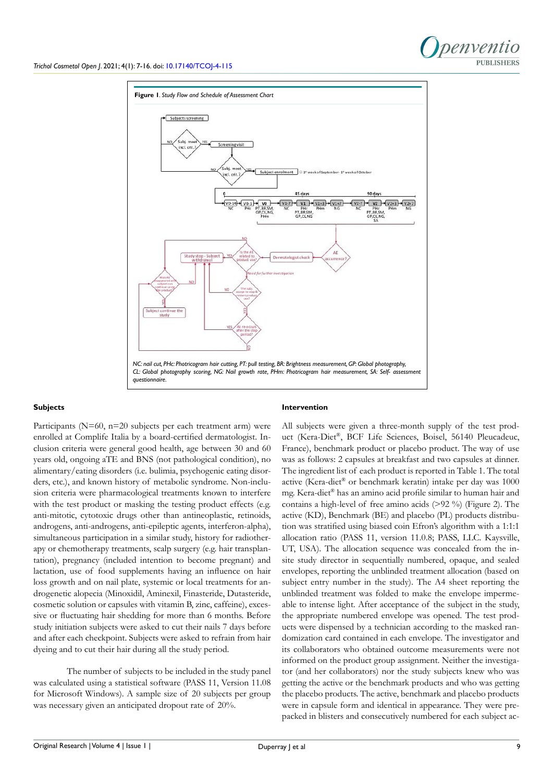

#### **Subjects**

Participants (N=60, n=20 subjects per each treatment arm) were enrolled at Complife Italia by a board-certified dermatologist. Inclusion criteria were general good health, age between 30 and 60 years old, ongoing aTE and BNS (not pathological condition), no alimentary/eating disorders (i.e. bulimia, psychogenic eating disorders, etc.), and known history of metabolic syndrome. Non-inclusion criteria were pharmacological treatments known to interfere with the test product or masking the testing product effects (e.g. anti-mitotic, cytotoxic drugs other than antineoplastic, retinoids, androgens, anti-androgens, anti-epileptic agents, interferon-alpha), simultaneous participation in a similar study, history for radiotherapy or chemotherapy treatments, scalp surgery (e.g. hair transplantation), pregnancy (included intention to become pregnant) and lactation, use of food supplements having an influence on hair loss growth and on nail plate, systemic or local treatments for androgenetic alopecia (Minoxidil, Aminexil, Finasteride, Dutasteride, cosmetic solution or capsules with vitamin B, zinc, caffeine), excessive or fluctuating hair shedding for more than 6 months. Before study initiation subjects were asked to cut their nails 7 days before and after each checkpoint. Subjects were asked to refrain from hair dyeing and to cut their hair during all the study period.

The number of subjects to be included in the study panel was calculated using a statistical software (PASS 11, Version 11.08 for Microsoft Windows). A sample size of 20 subjects per group was necessary given an anticipated dropout rate of 20%.

#### **Intervention**

All subjects were given a three-month supply of the test product (Kera-Diet®, BCF Life Sciences, Boisel, 56140 Pleucadeuc, France), benchmark product or placebo product. The way of use was as follows: 2 capsules at breakfast and two capsules at dinner. The ingredient list of each product is reported in Table 1. The total active (Kera-diet® or benchmark keratin) intake per day was 1000 mg. Kera-diet® has an amino acid profile similar to human hair and contains a high-level of free amino acids (>92 %) (Figure 2). The active (KD), Benchmark (BE) and placebo (PL) products distribution was stratified using biased coin Efron's algorithm with a 1:1:1 allocation ratio (PASS 11, version 11.0.8; PASS, LLC. Kaysville, UT, USA). The allocation sequence was concealed from the insite study director in sequentially numbered, opaque, and sealed envelopes, reporting the unblinded treatment allocation (based on subject entry number in the study). The A4 sheet reporting the unblinded treatment was folded to make the envelope impermeable to intense light. After acceptance of the subject in the study, the appropriate numbered envelope was opened. The test products were dispensed by a technician according to the masked randomization card contained in each envelope. The investigator and its collaborators who obtained outcome measurements were not informed on the product group assignment. Neither the investigator (and her collaborators) nor the study subjects knew who was getting the active or the benchmark products and who was getting the placebo products. The active, benchmark and placebo products were in capsule form and identical in appearance. They were prepacked in blisters and consecutively numbered for each subject ac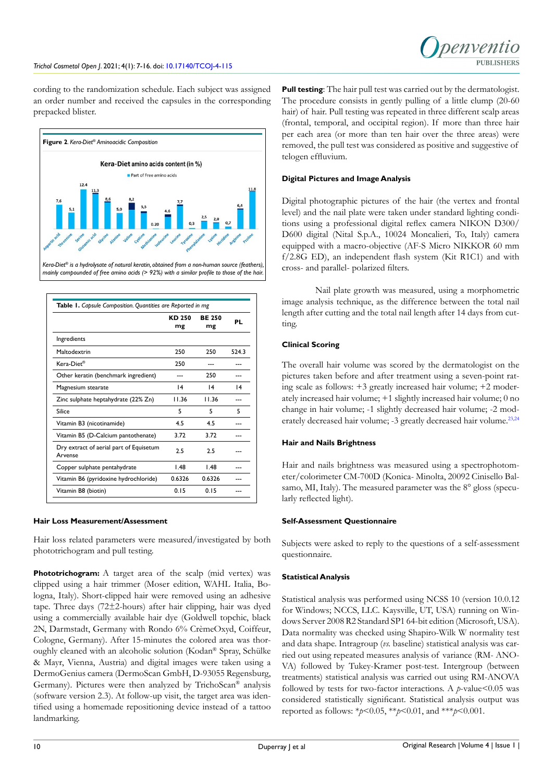cording to the randomization schedule. Each subject was assigned an order number and received the capsules in the corresponding prepacked blister.





| Table 1. Capsule Composition. Quantities are Reported in mg |                     |                     |       |  |  |
|-------------------------------------------------------------|---------------------|---------------------|-------|--|--|
|                                                             | <b>KD 250</b><br>mg | <b>BE 250</b><br>mg | PL    |  |  |
| Ingredients                                                 |                     |                     |       |  |  |
| Maltodextrin                                                | 250                 | 250                 | 524.3 |  |  |
| Kera-Diet®                                                  | 250                 |                     |       |  |  |
| Other keratin (benchmark ingredient)                        |                     | 250                 |       |  |  |
| Magnesium stearate                                          | 4                   | $\overline{14}$     | 4     |  |  |
| Zinc sulphate heptahydrate (22% Zn)                         | 11.36               | 11.36               |       |  |  |
| Silice                                                      | 5                   | 5                   | 5     |  |  |
| Vitamin B3 (nicotinamide)                                   | 4.5                 | 45                  |       |  |  |
| Vitamin B5 (D-Calcium pantothenate)                         | 3.72                | 3.72                |       |  |  |
| Dry extract of aerial part of Equisetum<br>Arvense          | 2.5                 | 25                  |       |  |  |
| Copper sulphate pentahydrate                                | 1.48                | 1.48                |       |  |  |
| Vitamin B6 (pyridoxine hydrochloride)                       | 0.6326              | 0.6326              |       |  |  |
| Vitamin B8 (biotin)                                         | 0.15                | 0.15                |       |  |  |

# **Hair Loss Measurement/Assessment**

Hair loss related parameters were measured/investigated by both phototrichogram and pull testing.

**Phototrichogram:** A target area of the scalp (mid vertex) was clipped using a hair trimmer (Moser edition, WAHL Italia, Bologna, Italy). Short-clipped hair were removed using an adhesive tape. Three days (72±2-hours) after hair clipping, hair was dyed using a commercially available hair dye (Goldwell topchic, black 2N, Darmstadt, Germany with Rondo 6% CrèmeOxyd, Coiffeur, Cologne, Germany). After 15-minutes the colored area was thoroughly cleaned with an alcoholic solution (Kodan® Spray, Schülke & Mayr, Vienna, Austria) and digital images were taken using a DermoGenius camera (DermoScan GmbH, D-93055 Regensburg, Germany). Pictures were then analyzed by TrichoScan® analysis (software version 2.3). At follow-up visit, the target area was identified using a homemade repositioning device instead of a tattoo landmarking.

**Pull testing**: The hair pull test was carried out by the dermatologist. The procedure consists in gently pulling of a little clump (20-60 hair) of hair. Pull testing was repeated in three different scalp areas (frontal, temporal, and occipital region). If more than three hair per each area (or more than ten hair over the three areas) were removed, the pull test was considered as positive and suggestive of telogen effluvium.

# **Digital Pictures and Image Analysis**

Digital photographic pictures of the hair (the vertex and frontal level) and the nail plate were taken under standard lighting conditions using a professional digital reflex camera NIKON D300/ D600 digital (Nital S.p.A., 10024 Moncalieri, To, Italy) camera equipped with a macro-objective (AF-S Micro NIKKOR 60 mm f/2.8G ED), an independent flash system (Kit R1C1) and with cross- and parallel- polarized filters.

Nail plate growth was measured, using a morphometric image analysis technique, as the difference between the total nail length after cutting and the total nail length after 14 days from cutting.

# **Clinical Scoring**

The overall hair volume was scored by the dermatologist on the pictures taken before and after treatment using a seven-point rating scale as follows: +3 greatly increased hair volume; +2 moderately increased hair volume; +1 slightly increased hair volume; 0 no change in hair volume; -1 slightly decreased hair volume; -2 moderately decreased hair volume; -3 greatly decreased hair volume.<sup>23,24</sup>

# **Hair and Nails Brightness**

Hair and nails brightness was measured using a spectrophotometer/colorimeter CM-700D (Konica- Minolta, 20092 Cinisello Balsamo, MI, Italy). The measured parameter was the 8° gloss (specularly reflected light).

# **Self-Assessment Questionnaire**

Subjects were asked to reply to the questions of a self-assessment questionnaire.

# **Statistical Analysis**

Statistical analysis was performed using NCSS 10 (version 10.0.12 for Windows; NCCS, LLC. Kaysville, UT, USA) running on Windows Server 2008 R2 Standard SP1 64-bit edition (Microsoft, USA). Data normality was checked using Shapiro-Wilk W normality test and data shape. Intragroup (*vs.* baseline) statistical analysis was carried out using repeated measures analysis of variance (RM- ANO-VA) followed by Tukey-Kramer post-test. Intergroup (between treatments) statistical analysis was carried out using RM-ANOVA followed by tests for two-factor interactions. A *p*-value <0.05 was considered statistically significant. Statistical analysis output was reported as follows: \**p*<0.05, \*\**p*<0.01, and \*\*\**p*<0.001.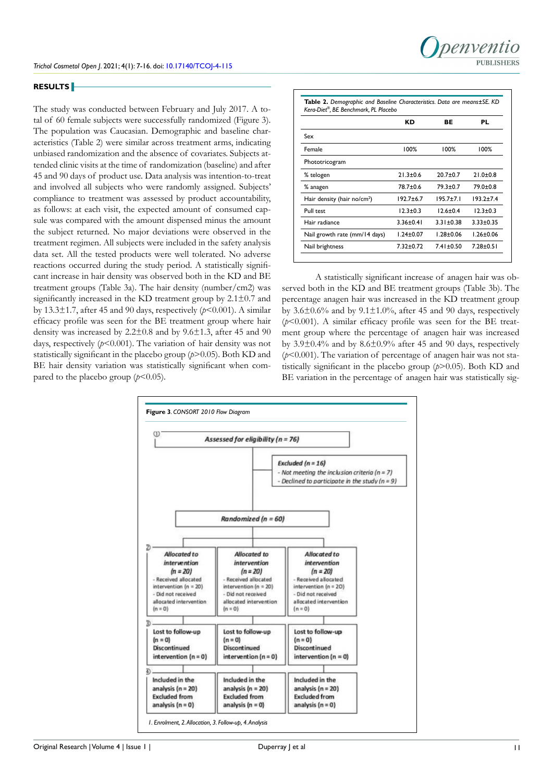#### **RESULTS**

The study was conducted between February and July 2017. A total of 60 female subjects were successfully randomized (Figure 3). The population was Caucasian. Demographic and baseline characteristics (Table 2) were similar across treatment arms, indicating unbiased randomization and the absence of covariates. Subjects attended clinic visits at the time of randomization (baseline) and after 45 and 90 days of product use. Data analysis was intention-to-treat and involved all subjects who were randomly assigned. Subjects' compliance to treatment was assessed by product accountability, as follows: at each visit, the expected amount of consumed capsule was compared with the amount dispensed minus the amount the subject returned. No major deviations were observed in the treatment regimen. All subjects were included in the safety analysis data set. All the tested products were well tolerated. No adverse reactions occurred during the study period. A statistically significant increase in hair density was observed both in the KD and BE treatment groups (Table 3a). The hair density (number/cm2) was significantly increased in the KD treatment group by 2.1±0.7 and by 13.3 $\pm$ 1.7, after 45 and 90 days, respectively ( $p$ <0.001). A similar efficacy profile was seen for the BE treatment group where hair density was increased by 2.2±0.8 and by 9.6±1.3, after 45 and 90 days, respectively  $(p<0.001)$ . The variation of hair density was not statistically significant in the placebo group (*p*>0.05). Both KD and BE hair density variation was statistically significant when compared to the placebo group  $(p<0.05)$ .

|                                         | КD              | ВE              | PL              |
|-----------------------------------------|-----------------|-----------------|-----------------|
| Sex                                     |                 |                 |                 |
| Female                                  | 100%            | 100%            | 100%            |
| Phototricogram                          |                 |                 |                 |
| % telogen                               | $21.3 \pm 0.6$  | $20.7 + 0.7$    | $21.0+0.8$      |
| % anagen                                | 78.7±0.6        | $79.3 \pm 0.7$  | $79.0 + 0.8$    |
| Hair density (hair no/cm <sup>2</sup> ) | $192.7 + 6.7$   | $195.7 \pm 7.1$ | $193.2 + 7.4$   |
| Pull test                               | $12.3 \pm 0.3$  | $12.6 \pm 0.4$  | $12.3 \pm 0.3$  |
| Hair radiance                           | $3.36 \pm 0.41$ | $3.31 \pm 0.38$ | $3.33 \pm 0.35$ |
| Nail growth rate (mm/14 days)           | $1.24 \pm 0.07$ | $1.28 \pm 0.06$ | $1.26 \pm 0.06$ |
| Nail brightness                         | $7.32 \pm 0.72$ | $7.41 \pm 0.50$ | $7.28 \pm 0.51$ |

A statistically significant increase of anagen hair was observed both in the KD and BE treatment groups (Table 3b). The percentage anagen hair was increased in the KD treatment group by  $3.6\pm0.6\%$  and by  $9.1\pm1.0\%$ , after 45 and 90 days, respectively  $(b<0.001)$ . A similar efficacy profile was seen for the BE treatment group where the percentage of anagen hair was increased by 3.9±0.4% and by 8.6±0.9% after 45 and 90 days, respectively (*p*<0.001). The variation of percentage of anagen hair was not statistically significant in the placebo group (*p*>0.05). Both KD and BE variation in the percentage of anagen hair was statistically sig-

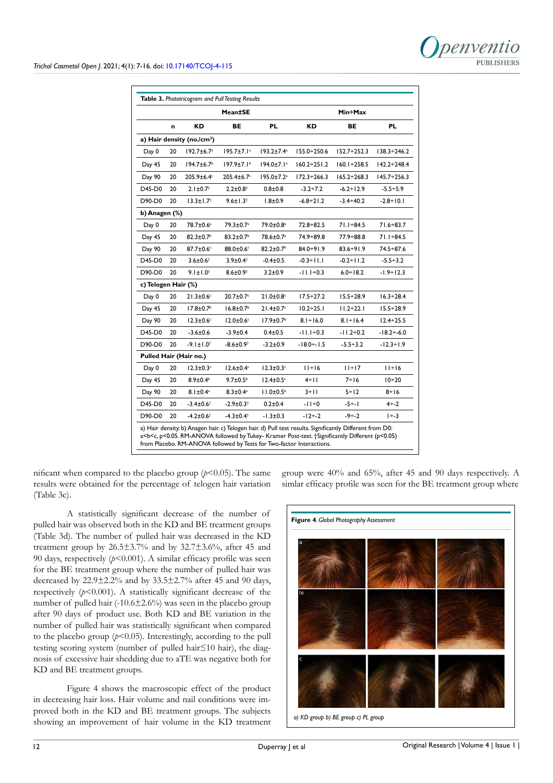|                     | <b>Mean±SE</b> |                               |                              | <b>Min÷Max</b>               |                    |                    |                    |
|---------------------|----------------|-------------------------------|------------------------------|------------------------------|--------------------|--------------------|--------------------|
|                     | n              | ΚD                            | ВE                           | PL                           | КD                 | ВE                 | PL                 |
|                     |                | a) Hair density (no./ $cm2$ ) |                              |                              |                    |                    |                    |
| Day 0               | 20             | $192.7 \pm 6.7^{\circ}$       | $195.7 \pm 7.1$ <sup>a</sup> | $193.2 \pm 7.4^a$            | $155.0 \div 250.6$ | $152.7 + 252.3$    | $138.3 \div 246.2$ |
| Day 45              | 20             | $194.7 \pm 6.7$ <sup>b</sup>  | $197.9 \pm 7.1^{\circ}$      | $194.0 \pm 7.1$ <sup>a</sup> | $160.2 \div 251.2$ | $160.1 + 258.5$    | $142.2 \div 248.4$ |
| Day 90              | 20             | 205.9±6.4c                    | 205.4±6.7c                   | 195.0±7.2 <sup>a</sup>       | $172.3 \div 266.3$ | $165.2 \div 268.3$ | $145.7 \div 256.3$ |
| D45-D0              | 20             | $2.1 \pm 0.7$ <sup>†</sup>    | $2.2 \pm 0.8$ <sup>†</sup>   | $0.8 + 0.8$                  | $-3.2 \div 7.2$    | $-6.2 + 12.9$      | $-5.5 + 5.9$       |
| D90-D0              | 20             | $13.3 \pm 1.7^{\dagger}$      | $9.6 \pm 1.3^+$              | $1.8 + 0.9$                  | $-6.8 + 21.2$      | $-3.4 \div 40.2$   | $-2.8 + 10.1$      |
| b) Anagen (%)       |                |                               |                              |                              |                    |                    |                    |
| Day 0               | 20             | 78.7±0.6 <sup>a</sup>         | 79.3±0.7 <sup>a</sup>        | 79.0±0.8 <sup>a</sup>        | $72.8 + 82.5$      | $71.1 + 84.5$      | $71.6 + 83.7$      |
| Day 45              | 20             | $82.3 \pm 0.7$ <sup>b</sup>   | $83.2 \pm 0.7$ <sup>b</sup>  | 78.6±0.7 <sup>a</sup>        | 74.9÷89.8          | $77.9 + 88.8$      | $71.1 + 84.5$      |
| Day 90              | 20             | 87.7±0.6°                     | 88.0±0.6c                    | $82.2 \pm 0.7$ <sup>b</sup>  | $84.0 + 91.9$      | $83.6 + 91.9$      | 74.5÷87.6          |
| D45-D0              | 20             | $3.6 \pm 0.6$ <sup>†</sup>    | $3.9 \pm 0.4^{\dagger}$      | $-0.4 \pm 0.5$               | $-0.3 + 11.1$      | $-0.2 + 11.2$      | $-5.5 + 3.2$       |
| D90-D0              | 20             | $9.1 \pm 1.0$ <sup>†</sup>    | $8.6 \pm 0.9$ <sup>†</sup>   | $3.2 \pm 0.9$                | $-11.1 \div 0.3$   | $6.0 + 18.2$       | -1.9÷12.3          |
| c) Telogen Hair (%) |                |                               |                              |                              |                    |                    |                    |
| Day 0               | 20             | $21.3 \pm 0.6$                | 20.7±0.7c                    | $21.0 \pm 0.8$               | $17.5 \div 27.2$   | $15.5 \div 28.9$   | $16.3 \div 28.4$   |
| Day 45              | 20             | $17.8 \pm 0.7^{\circ}$        | $16.8 \pm 0.7^b$             | $21.4 \pm 0.7$ <sup>c</sup>  | $10.2 \div 25.1$   | $11.2 \div 22.1$   | $15.5 + 28.9$      |
| Day 90              | 20             | $12.3 \pm 0.6$                | $12.0 \pm 0.6$               | $17.9 \pm 0.7$ <sup>b</sup>  | $8.1 + 16.0$       | $8.1 + 16.4$       | $12.4 \div 25.5$   |
| D45-D0              | 20             | $-3.6 \pm 0.6$                | $-3.9 \pm 0.4$               | $0.4 + 0.5$                  | $-11.1 \div 0.3$   | $-11.2 \div 0.2$   | $-18.2 \div -6.0$  |
| D90-D0              | 20             | $-9.1 \pm 1.0$ <sup>†</sup>   | $-8.6 \pm 0.9^+$             | $-3.2 \pm 0.9$               | $-18.0 + 1.5$      | $-5.5 \div 3.2$    | -12.3÷1.9          |
|                     |                | Pulled Hair (Hair no.)        |                              |                              |                    |                    |                    |
| Day 0               | 20             | $12.3 \pm 0.3$ <sup>c</sup>   | $12.6 \pm 0.4$               | $12.3 \pm 0.3$               | $11 \div 16$       | $11 \div 17$       | $11 \div 16$       |
| Day 45              | 20             | $8.9 \pm 0.4^{\circ}$         | $9.7 \pm 0.5^{\circ}$        | $12.4 \pm 0.5$               | $4 \div$           | $7 \div 16$        | $10 + 20$          |
| Day 90              | 20             | $8.1 \pm 0.4^a$               | $8.3 \pm 0.4^a$              | $11.0 \pm 0.5^{\circ}$       | $3 + 11$           | $5 + 12$           | $8 + 16$           |
| D45-D0              | 20             | $-3.4 \pm 0.6$ <sup>†</sup>   | $-2.9 \pm 0.3$               | $0.2 + 0.4$                  | $-11+0$            | $-5 + 1$           | $4 - 2$            |
| D90-D0              | 20             | $-4.2 \pm 0.6$ <sup>†</sup>   | $-4.3 \pm 0.4$ <sup>†</sup>  | $-1.3 \pm 0.3$               | $-12 + 2$          | $-9 - 2$           | $1 - 3$            |

nificant when compared to the placebo group  $(p<0.05)$ . The same results were obtained for the percentage of telogen hair variation (Table 3c).

group were 40% and 65%, after 45 and 90 days respectively. A simlar efficacy profile was seen for the BE treatment group where

A statistically significant decrease of the number of pulled hair was observed both in the KD and BE treatment groups (Table 3d). The number of pulled hair was decreased in the KD treatment group by  $26.5\pm3.7\%$  and by  $32.7\pm3.6\%$ , after 45 and 90 days, respectively  $(p<0.001)$ . A similar efficacy profile was seen for the BE treatment group where the number of pulled hair was decreased by  $22.9 \pm 2.2\%$  and by  $33.5 \pm 2.7\%$  after 45 and 90 days, respectively  $(p<0.001)$ . A statistically significant decrease of the number of pulled hair (-10.6±2.6%) was seen in the placebo group after 90 days of product use. Both KD and BE variation in the number of pulled hair was statistically significant when compared to the placebo group  $(p<0.05)$ . Interestingly, according to the pull testing scoring system (number of pulled hair≤10 hair), the diagnosis of excessive hair shedding due to aTE was negative both for KD and BE treatment groups.

Figure 4 shows the macroscopic effect of the product in decreasing hair loss. Hair volume and nail conditions were improved both in the KD and BE treatment groups. The subjects showing an improvement of hair volume in the KD treatment



*a) KD group b) BE group c) PL group*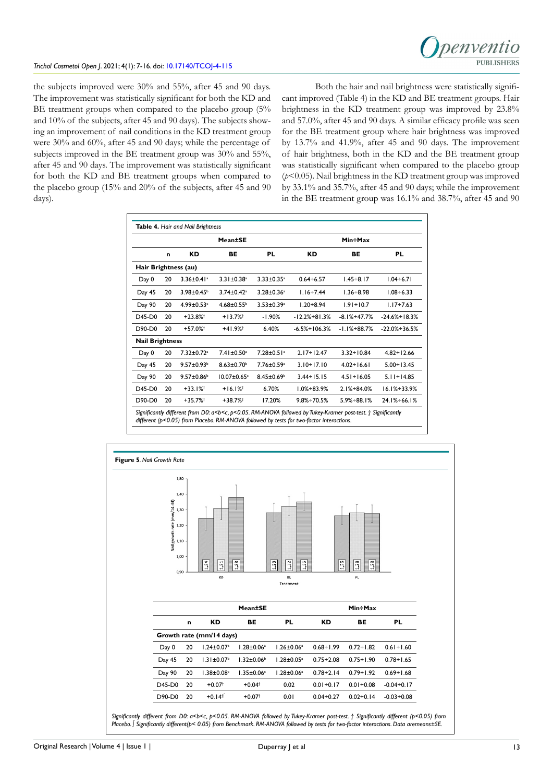the subjects improved were 30% and 55%, after 45 and 90 days. The improvement was statistically significant for both the KD and BE treatment groups when compared to the placebo group (5%) and 10% of the subjects, after 45 and 90 days). The subjects showing an improvement of nail conditions in the KD treatment group were 30% and 60%, after 45 and 90 days; while the percentage of subjects improved in the BE treatment group was 30% and 55%, after 45 and 90 days. The improvement was statistically significant for both the KD and BE treatment groups when compared to the placebo group (15% and 20% of the subjects, after 45 and 90 days).

Both the hair and nail brightness were statistically significant improved (Table 4) in the KD and BE treatment groups. Hair brightness in the KD treatment group was improved by 23.8% and 57.0%, after 45 and 90 days. A similar efficacy profile was seen for the BE treatment group where hair brightness was improved by 13.7% and 41.9%, after 45 and 90 days. The improvement of hair brightness, both in the KD and the BE treatment group was statistically significant when compared to the placebo group (*p*<0.05). Nail brightness in the KD treatment group was improved by 33.1% and 35.7%, after 45 and 90 days; while the improvement in the BE treatment group was 16.1% and 38.7%, after 45 and 90

|                        |    |                              | Mean±SE                      |                              |                       | Min÷Max           |                    |
|------------------------|----|------------------------------|------------------------------|------------------------------|-----------------------|-------------------|--------------------|
|                        | n  | КD                           | BE                           | <b>PL</b>                    | КD                    | BE                | PL                 |
| Hair Brightness (au)   |    |                              |                              |                              |                       |                   |                    |
| Day 0                  | 20 | $3.36 \pm 0.41$ <sup>a</sup> | $3.31 \pm 0.38$ <sup>a</sup> | $3.33 \pm 0.35$ <sup>a</sup> | $0.64 \div 6.57$      | $1.45 \div 8.17$  | $1.04 \div 6.71$   |
| Day 45                 | 20 | $3.98 \pm 0.45$              | $3.74 \pm 0.42$ <sup>a</sup> | $3.28 \pm 0.36$ <sup>a</sup> | $1.16 - 7.44$         | $1.36 \div 8.98$  | $1.08 + 6.33$      |
| Day 90                 | 20 | $4.99 \pm 0.53$              | $4.68 \pm 0.55$ <sup>b</sup> | $3.53 \pm 0.39$ <sup>a</sup> | $1.20 + 8.94$         | $1.91 \div 10.7$  | $1.17 + 7.63$      |
| D45-D0                 | 20 | $+23.8%$ <sup>†</sup>        | $+13.7%$ <sup>†</sup>        | $-1.90%$                     | $-12.2% + 81.3%$      | $-8.1\% + 47.7\%$ | $-24.6\% + 18.3\%$ |
| D90-D0                 | 20 | $+57.0%$ <sup>†</sup>        | $+41.9%$                     | 6.40%                        | $-6.5\% \div 106.3\%$ | $-1.1% + 88.7%$   | $-22.0\% + 36.5\%$ |
| <b>Nail Brightness</b> |    |                              |                              |                              |                       |                   |                    |
| Day 0                  | 20 | 7.32±0.72 <sup>a</sup>       | 7.41±0.50 <sup>a</sup>       | $7.28 \pm 0.51$ <sup>a</sup> | $2.17 \div 12.47$     | $3.32 \div 10.84$ | $4.82 \div 12.66$  |
| Day 45                 | 20 | $9.57 \pm 0.93$ <sup>b</sup> | $8.63 \pm 0.70$ <sup>b</sup> | 7.76±0.59 <sup>a</sup>       | $3.10 \div 17.10$     | $4.02 \div 16.61$ | $5.00 \div 13.45$  |
| Day 90                 | 20 | $9.57 \pm 0.86$ <sup>b</sup> | $10.07 \pm 0.65$             | $8.45 \pm 0.69$              | $3.44 \div 15.15$     | $4.51 \div 16.05$ | $5.11 \div 14.85$  |
| D45-D0                 | 20 | $+33.1%$                     | $+16.1%$                     | 6.70%                        | $1.0\% + 83.9\%$      | $2.1\% + 84.0\%$  | $16.1\% + 33.9\%$  |
| D90-D0                 | 20 | $+35.7%$                     | $+38.7%$ <sup>†</sup>        | 17.20%                       | $9.8\% \div 70.5\%$   | $5.9% + 88.1%$    | $24.1\% + 66.1\%$  |

*Significantly different from D0: a<b<c, p<0.05. RM-ANOVA followed by Tukey-Kramer post-test. † Significantly different (p<0.05) from Placebo. RM-ANOVA followed by tests for two-factor interactions.*



*Significantly different from D0: a<b<c, p<0.05. RM-ANOVA followed by Tukey-Kramer post-test. † Significantly different (p<0.05) from Placebo. ∫ Significantly different(p< 0.05) from Benchmark. RM-ANOVA followed by tests for two-factor interactions. Data aremeans±SE.*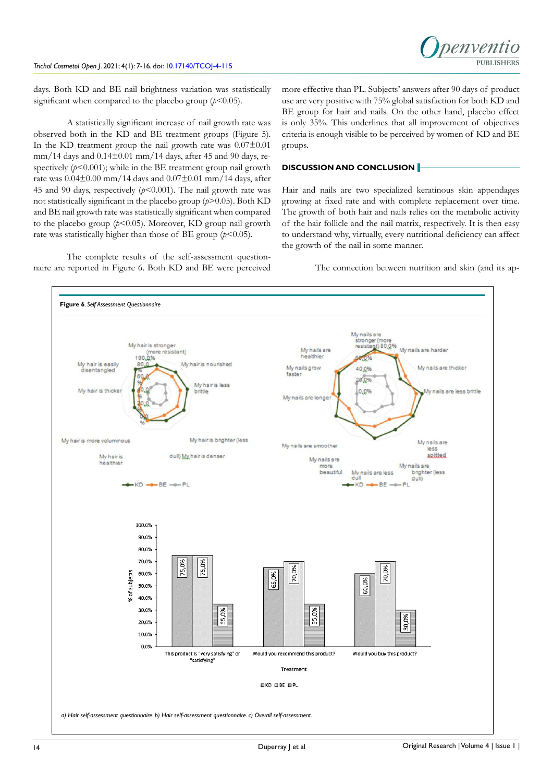

days. Both KD and BE nail brightness variation was statistically significant when compared to the placebo group  $(p<0.05)$ .

A statistically significant increase of nail growth rate was observed both in the KD and BE treatment groups (Figure 5). In the KD treatment group the nail growth rate was  $0.07\pm0.01$  $mm/14$  days and  $0.14\pm0.01$  mm/14 days, after 45 and 90 days, respectively  $(p<0.001)$ ; while in the BE treatment group nail growth rate was  $0.04\pm0.00$  mm/14 days and  $0.07\pm0.01$  mm/14 days, after 45 and 90 days, respectively  $(p<0.001)$ . The nail growth rate was not statistically significant in the placebo group (*p*>0.05). Both KD and BE nail growth rate was statistically significant when compared to the placebo group  $(p<0.05)$ . Moreover, KD group nail growth rate was statistically higher than those of BE group  $(p<0.05)$ .

The complete results of the self-assessment questionnaire are reported in Figure 6. Both KD and BE were perceived more effective than PL. Subjects' answers after 90 days of product use are very positive with 75% global satisfaction for both KD and BE group for hair and nails. On the other hand, placebo effect is only 35%. This underlines that all improvement of objectives criteria is enough visible to be perceived by women of KD and BE groups.

# **DISCUSSION AND CONCLUSION**

Hair and nails are two specialized keratinous skin appendages growing at fixed rate and with complete replacement over time. The growth of both hair and nails relies on the metabolic activity of the hair follicle and the nail matrix, respectively. It is then easy to understand why, virtually, every nutritional deficiency can affect the growth of the nail in some manner.

The connection between nutrition and skin (and its ap-

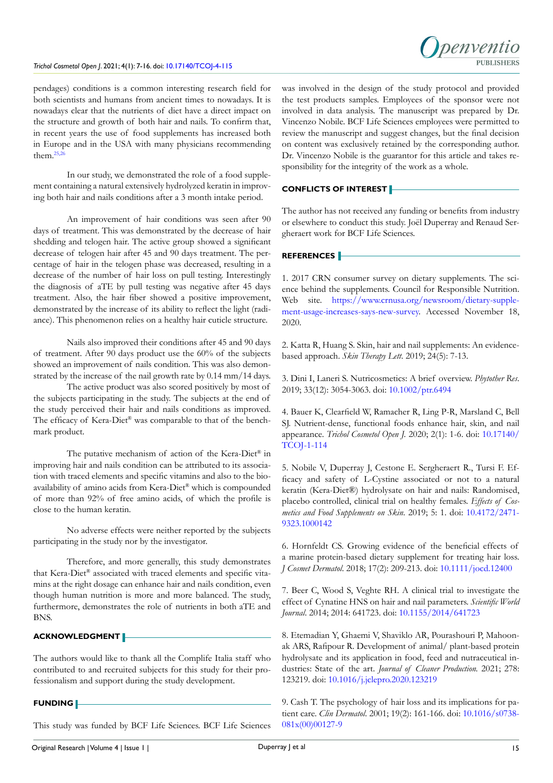# *Trichol Cosmetol Open J*. 2021; 4(1): 7-16. doi: [10.17140/TCOJ-4-115](http://dx.doi.org/10.17140/TCOJ-4-115)



pendages) conditions is a common interesting research field for both scientists and humans from ancient times to nowadays. It is nowadays clear that the nutrients of diet have a direct impact on the structure and growth of both hair and nails. To confirm that, in recent years the use of food supplements has increased both in Europe and in the USA with many physicians recommending them. $25,26$ 

In our study, we demonstrated the role of a food supplement containing a natural extensively hydrolyzed keratin in improving both hair and nails conditions after a 3 month intake period.

An improvement of hair conditions was seen after 90 days of treatment. This was demonstrated by the decrease of hair shedding and telogen hair. The active group showed a significant decrease of telogen hair after 45 and 90 days treatment. The percentage of hair in the telogen phase was decreased, resulting in a decrease of the number of hair loss on pull testing. Interestingly the diagnosis of aTE by pull testing was negative after 45 days treatment. Also, the hair fiber showed a positive improvement, demonstrated by the increase of its ability to reflect the light (radiance). This phenomenon relies on a healthy hair cuticle structure.

Nails also improved their conditions after 45 and 90 days of treatment. After 90 days product use the 60% of the subjects showed an improvement of nails condition. This was also demonstrated by the increase of the nail growth rate by 0.14 mm/14 days.

The active product was also scored positively by most of the subjects participating in the study. The subjects at the end of the study perceived their hair and nails conditions as improved. The efficacy of Kera-Diet® was comparable to that of the benchmark product.

The putative mechanism of action of the Kera-Diet® in improving hair and nails condition can be attributed to its association with traced elements and specific vitamins and also to the bioavailability of amino acids from Kera-Diet® which is compounded of more than 92% of free amino acids, of which the profile is close to the human keratin.

No adverse effects were neither reported by the subjects participating in the study nor by the investigator.

Therefore, and more generally, this study demonstrates that Kera-Diet® associated with traced elements and specific vitamins at the right dosage can enhance hair and nails condition, even though human nutrition is more and more balanced. The study, furthermore, demonstrates the role of nutrients in both aTE and BNS.

# **ACKNOWLEDGMENT**

The authors would like to thank all the Complife Italia staff who contributed to and recruited subjects for this study for their professionalism and support during the study development.

# **FUNDING**

This study was funded by BCF Life Sciences. BCF Life Sciences

was involved in the design of the study protocol and provided the test products samples. Employees of the sponsor were not involved in data analysis. The manuscript was prepared by Dr. Vincenzo Nobile. BCF Life Sciences employees were permitted to review the manuscript and suggest changes, but the final decision on content was exclusively retained by the corresponding author. Dr. Vincenzo Nobile is the guarantor for this article and takes responsibility for the integrity of the work as a whole.

# **CONFLICTS OF INTEREST**

The author has not received any funding or benefits from industry or elsewhere to conduct this study. Joël Duperray and Renaud Sergheraert work for BCF Life Sciences.

## **REFERENCES**

<span id="page-8-0"></span>1. 2017 CRN consumer survey on dietary supplements. The science behind the supplements. Council for Responsible Nutrition. Web site. [https://www.crnusa.org/newsroom/dietary-supple](https://www.crnusa.org/newsroom/dietary-supplement-usage-increases-says-new-survey)[ment-usage-increases-says-new-survey.](https://www.crnusa.org/newsroom/dietary-supplement-usage-increases-says-new-survey) Accessed November 18, 2020.

<span id="page-8-1"></span>2. Katta R, Huang S. Skin, hair and nail supplements: An evidencebased approach. *Skin Therapy Lett*. 2019; 24(5): 7-13.

3. Dini I, Laneri S. Nutricosmetics: A brief overview. *Phytother Res*. 2019; 33(12): 3054-3063. doi: [10.1002/ptr.6494](https://doi.org/10.1002/ptr.6494)

<span id="page-8-2"></span>4. Bauer K, Clearfield W, Ramacher R, Ling P-R, Marsland C, Bell SJ. Nutrient-dense, functional foods enhance hair, skin, and nail appearance. *Trichol Cosmetol Open J.* 2020; 2(1): 1-6. doi: 10.17140/ TCOJ-1-114

<span id="page-8-3"></span>5. Nobile V, Duperray J, Cestone E. Sergheraert R., Tursi F. Efficacy and safety of L-Cystine associated or not to a natural keratin (Kera-Diet®) hydrolysate on hair and nails: Randomised, placebo controlled, clinical trial on healthy females. *Effects of Cosmetics and Food Supplements on Skin*. 2019; 5: 1. doi: [10.4172/2471-](https://doi.org/10.4172/2471-9323.1000142) [9323.1000142](https://doi.org/10.4172/2471-9323.1000142)

<span id="page-8-4"></span>6. Hornfeldt CS. Growing evidence of the beneficial effects of a marine protein-based dietary supplement for treating hair loss. *J Cosmet Dermatol*. 2018; 17(2): 209-213. doi: [10.1111/jocd.12400](https://doi.org/10.1111/jocd.12400)

<span id="page-8-5"></span>7. Beer C, Wood S, Veghte RH. A clinical trial to investigate the effect of Cynatine HNS on hair and nail parameters. *Scientific World Journal*. 2014; 2014: 641723. doi: [10.1155/2014/641723](https://doi.org/10.1155/2014/641723)

<span id="page-8-6"></span>8. Etemadian Y, Ghaemi V, Shaviklo AR, Pourashouri P, Mahoonak ARS, Rafipour R. Development of animal/ plant-based protein hydrolysate and its application in food, feed and nutraceutical industries: State of the art. *Journal of Cleaner Production.* 2021; 278: 123219. doi: [10.1016/j.jclepro.2020.123219](https://doi.org/10.1016/j.jclepro.2020.123219)

<span id="page-8-7"></span>9. Cash T. The psychology of hair loss and its implications for patient care. *Clin Dermatol*. 2001; 19(2): 161-166. doi: [10.1016/s0738-](https://doi.org/10.1016/s0738-081x%2800%2900127-9) [081x\(00\)00127-9](https://doi.org/10.1016/s0738-081x%2800%2900127-9)